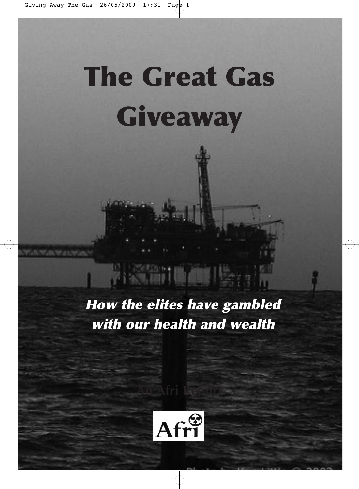# The Great Gas Giveaway

How the elites have gambled with our health and wealth



**An Afri Report**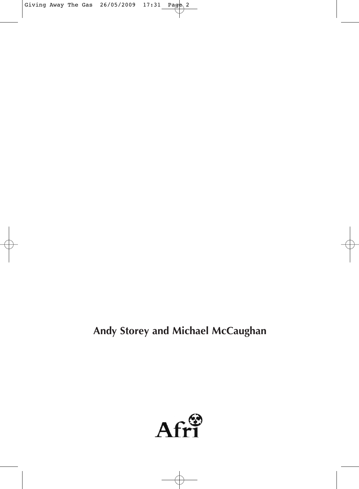Giving Away The Gas  $26/05/2009$   $17:31$  Page  $2$ 

**Andy Storey and Michael McCaughan**

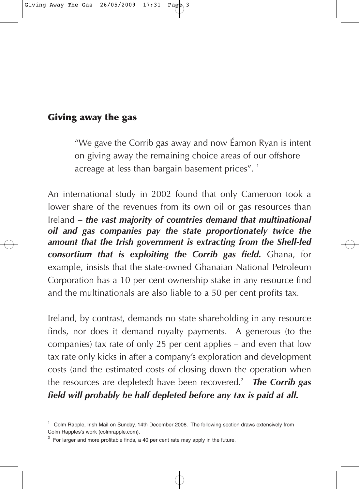## Giving away the gas

"We gave the Corrib gas away and now Éamon Ryan is intent on giving away the remaining choice areas of our offshore acreage at less than bargain basement prices".<sup>1</sup>

An international study in 2002 found that only Cameroon took a lower share of the revenues from its own oil or gas resources than Ireland – *the vast majority of countries demand that multinational oil and gas companies pay the state proportionately twice the amount that the Irish government is extracting from the Shell-led consortium that is exploiting the Corrib gas field.* Ghana, for example, insists that the state-owned Ghanaian National Petroleum Corporation has a 10 per cent ownership stake in any resource find and the multinationals are also liable to a 50 per cent profits tax.

Ireland, by contrast, demands no state shareholding in any resource finds, nor does it demand royalty payments. A generous (to the companies) tax rate of only 25 per cent applies – and even that low tax rate only kicks in after a company's exploration and development costs (and the estimated costs of closing down the operation when the resources are depleted) have been recovered.2 *The Corrib gas field will probably be half depleted before any tax is paid at all.*

 $1$  Colm Rapple, Irish Mail on Sunday, 14th December 2008. The following section draws extensively from Colm Rapples's work (colmrapple.com).

 $2$  For larger and more profitable finds, a 40 per cent rate may apply in the future.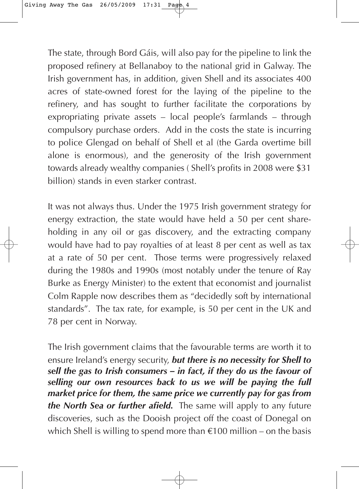The state, through Bord Gáis, will also pay for the pipeline to link the proposed refinery at Bellanaboy to the national grid in Galway. The Irish government has, in addition, given Shell and its associates 400 acres of state-owned forest for the laying of the pipeline to the refinery, and has sought to further facilitate the corporations by expropriating private assets – local people's farmlands – through compulsory purchase orders. Add in the costs the state is incurring to police Glengad on behalf of Shell et al (the Garda overtime bill alone is enormous), and the generosity of the Irish government towards already wealthy companies ( Shell's profits in 2008 were \$31 billion) stands in even starker contrast.

It was not always thus. Under the 1975 Irish government strategy for energy extraction, the state would have held a 50 per cent shareholding in any oil or gas discovery, and the extracting company would have had to pay royalties of at least 8 per cent as well as tax at a rate of 50 per cent. Those terms were progressively relaxed during the 1980s and 1990s (most notably under the tenure of Ray Burke as Energy Minister) to the extent that economist and journalist Colm Rapple now describes them as "decidedly soft by international standards". The tax rate, for example, is 50 per cent in the UK and 78 per cent in Norway.

The Irish government claims that the favourable terms are worth it to ensure Ireland's energy security, *but there is no necessity for Shell to sell the gas to Irish consumers – in fact, if they do us the favour of selling our own resources back to us we will be paying the full market price for them, the same price we currently pay for gas from the North Sea or further afield.* The same will apply to any future discoveries, such as the Dooish project off the coast of Donegal on which Shell is willing to spend more than  $\epsilon$ 100 million – on the basis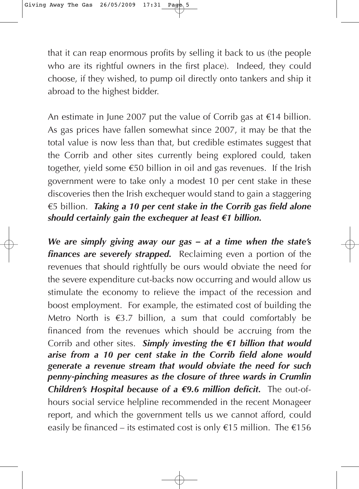that it can reap enormous profits by selling it back to us (the people who are its rightful owners in the first place). Indeed, they could choose, if they wished, to pump oil directly onto tankers and ship it abroad to the highest bidder.

An estimate in June 2007 put the value of Corrib gas at €14 billion. As gas prices have fallen somewhat since 2007, it may be that the total value is now less than that, but credible estimates suggest that the Corrib and other sites currently being explored could, taken together, yield some €50 billion in oil and gas revenues. If the Irish government were to take only a modest 10 per cent stake in these discoveries then the Irish exchequer would stand to gain a staggering €5 billion. *Taking a 10 per cent stake in the Corrib gas field alone should certainly gain the exchequer at least €1 billion.* 

*We are simply giving away our gas – at a time when the state's finances are severely strapped.* Reclaiming even a portion of the revenues that should rightfully be ours would obviate the need for the severe expenditure cut-backs now occurring and would allow us stimulate the economy to relieve the impact of the recession and boost employment. For example, the estimated cost of building the Metro North is  $\epsilon$ 3.7 billion, a sum that could comfortably be financed from the revenues which should be accruing from the Corrib and other sites. *Simply investing the €1 billion that would arise from a 10 per cent stake in the Corrib field alone would generate a revenue stream that would obviate the need for such penny-pinching measures as the closure of three wards in Crumlin Children's Hospital because of a €9.6 million deficit.* The out-ofhours social service helpline recommended in the recent Monageer report, and which the government tells us we cannot afford, could easily be financed – its estimated cost is only  $\epsilon$ 15 million. The  $\epsilon$ 156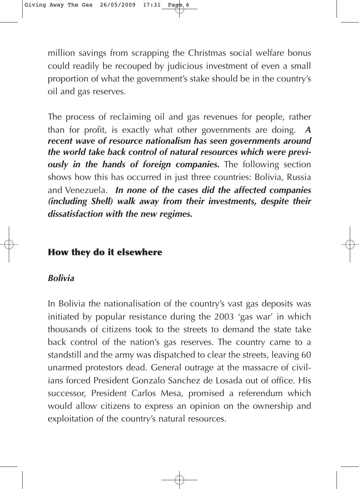million savings from scrapping the Christmas social welfare bonus could readily be recouped by judicious investment of even a small proportion of what the government's stake should be in the country's oil and gas reserves.

The process of reclaiming oil and gas revenues for people, rather than for profit, is exactly what other governments are doing. *A recent wave of resource nationalism has seen governments around the world take back control of natural resources which were previously in the hands of foreign companies.* The following section shows how this has occurred in just three countries: Bolivia, Russia and Venezuela. *In none of the cases did the affected companies (including Shell) walk away from their investments, despite their dissatisfaction with the new regimes.*

# How they do it elsewhere

#### *Bolivia*

In Bolivia the nationalisation of the country's vast gas deposits was initiated by popular resistance during the 2003 'gas war' in which thousands of citizens took to the streets to demand the state take back control of the nation's gas reserves. The country came to a standstill and the army was dispatched to clear the streets, leaving 60 unarmed protestors dead. General outrage at the massacre of civilians forced President Gonzalo Sanchez de Losada out of office. His successor, President Carlos Mesa, promised a referendum which would allow citizens to express an opinion on the ownership and exploitation of the country's natural resources.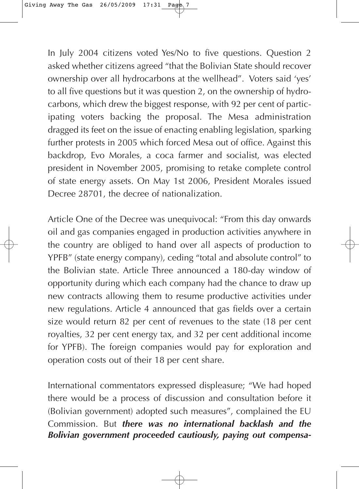In July 2004 citizens voted Yes/No to five questions. Question 2 asked whether citizens agreed "that the Bolivian State should recover ownership over all hydrocarbons at the wellhead". Voters said 'yes' to all five questions but it was question 2, on the ownership of hydrocarbons, which drew the biggest response, with 92 per cent of participating voters backing the proposal. The Mesa administration dragged its feet on the issue of enacting enabling legislation, sparking further protests in 2005 which forced Mesa out of office. Against this backdrop, Evo Morales, a coca farmer and socialist, was elected president in November 2005, promising to retake complete control of state energy assets. On May 1st 2006, President Morales issued Decree 28701, the decree of nationalization.

Article One of the Decree was unequivocal: "From this day onwards oil and gas companies engaged in production activities anywhere in the country are obliged to hand over all aspects of production to YPFB" (state energy company), ceding "total and absolute control" to the Bolivian state. Article Three announced a 180-day window of opportunity during which each company had the chance to draw up new contracts allowing them to resume productive activities under new regulations. Article 4 announced that gas fields over a certain size would return 82 per cent of revenues to the state (18 per cent royalties, 32 per cent energy tax, and 32 per cent additional income for YPFB). The foreign companies would pay for exploration and operation costs out of their 18 per cent share.

International commentators expressed displeasure; "We had hoped there would be a process of discussion and consultation before it (Bolivian government) adopted such measures", complained the EU Commission. But *there was no international backlash and the Bolivian government proceeded cautiously, paying out compensa-*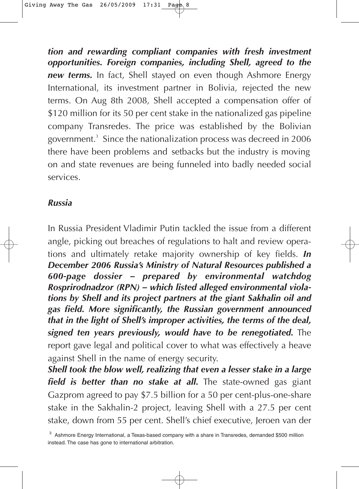Giving Away The Gas  $26/05/2009$  17:31

*tion and rewarding compliant companies with fresh investment opportunities. Foreign companies, including Shell, agreed to the new terms.* In fact, Shell stayed on even though Ashmore Energy International, its investment partner in Bolivia, rejected the new terms. On Aug 8th 2008, Shell accepted a compensation offer of \$120 million for its 50 per cent stake in the nationalized gas pipeline company Transredes. The price was established by the Bolivian government.<sup>3</sup> Since the nationalization process was decreed in 2006 there have been problems and setbacks but the industry is moving on and state revenues are being funneled into badly needed social services.

#### *Russia*

In Russia President Vladimir Putin tackled the issue from a different angle, picking out breaches of regulations to halt and review operations and ultimately retake majority ownership of key fields. *In December 2006 Russia's Ministry of Natural Resources published a 600-page dossier – prepared by environmental watchdog Rosprirodnadzor (RPN) – which listed alleged environmental violations by Shell and its project partners at the giant Sakhalin oil and gas field. More significantly, the Russian government announced that in the light of Shell's improper activities, the terms of the deal, signed ten years previously, would have to be renegotiated.* The report gave legal and political cover to what was effectively a heave against Shell in the name of energy security.

*Shell took the blow well, realizing that even a lesser stake in a large field is better than no stake at all.* The state-owned gas giant Gazprom agreed to pay \$7.5 billion for a 50 per cent-plus-one-share stake in the Sakhalin-2 project, leaving Shell with a 27.5 per cent stake, down from 55 per cent. Shell's chief executive, Jeroen van der

<sup>&</sup>lt;sup>3</sup> Ashmore Energy International, a Texas-based company with a share in Transredes, demanded \$500 million instead. The case has gone to international arbitration.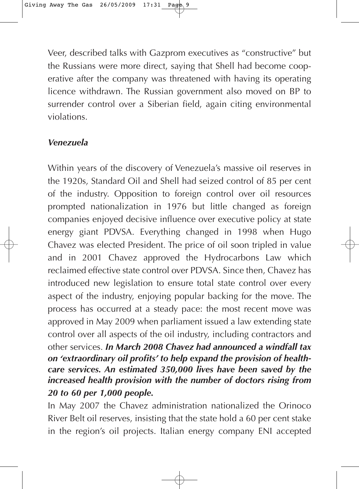Veer, described talks with Gazprom executives as "constructive" but the Russians were more direct, saying that Shell had become cooperative after the company was threatened with having its operating licence withdrawn. The Russian government also moved on BP to surrender control over a Siberian field, again citing environmental violations.

#### *Venezuela*

Within years of the discovery of Venezuela's massive oil reserves in the 1920s, Standard Oil and Shell had seized control of 85 per cent of the industry. Opposition to foreign control over oil resources prompted nationalization in 1976 but little changed as foreign companies enjoyed decisive influence over executive policy at state energy giant PDVSA. Everything changed in 1998 when Hugo Chavez was elected President. The price of oil soon tripled in value and in 2001 Chavez approved the Hydrocarbons Law which reclaimed effective state control over PDVSA. Since then, Chavez has introduced new legislation to ensure total state control over every aspect of the industry, enjoying popular backing for the move. The process has occurred at a steady pace: the most recent move was approved in May 2009 when parliament issued a law extending state control over all aspects of the oil industry, including contractors and other services. *In March 2008 Chavez had announced a windfall tax on 'extraordinary oil profits' to help expand the provision of healthcare services. An estimated 350,000 lives have been saved by the increased health provision with the number of doctors rising from 20 to 60 per 1,000 people.*

In May 2007 the Chavez administration nationalized the Orinoco River Belt oil reserves, insisting that the state hold a 60 per cent stake in the region's oil projects. Italian energy company ENI accepted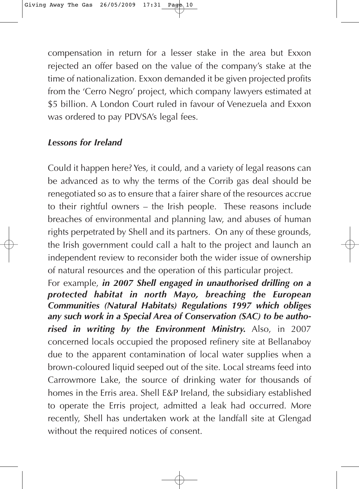compensation in return for a lesser stake in the area but Exxon rejected an offer based on the value of the company's stake at the time of nationalization. Exxon demanded it be given projected profits from the 'Cerro Negro' project, which company lawyers estimated at \$5 billion. A London Court ruled in favour of Venezuela and Exxon was ordered to pay PDVSA's legal fees.

### *Lessons for Ireland*

Could it happen here? Yes, it could, and a variety of legal reasons can be advanced as to why the terms of the Corrib gas deal should be renegotiated so as to ensure that a fairer share of the resources accrue to their rightful owners – the Irish people. These reasons include breaches of environmental and planning law, and abuses of human rights perpetrated by Shell and its partners. On any of these grounds, the Irish government could call a halt to the project and launch an independent review to reconsider both the wider issue of ownership of natural resources and the operation of this particular project.

For example, *in 2007 Shell engaged in unauthorised drilling on a protected habitat in north Mayo, breaching the European Communities (Natural Habitats) Regulations 1997 which obliges any such work in a Special Area of Conservation (SAC) to be authorised in writing by the Environment Ministry.* Also, in 2007 concerned locals occupied the proposed refinery site at Bellanaboy due to the apparent contamination of local water supplies when a brown-coloured liquid seeped out of the site. Local streams feed into Carrowmore Lake, the source of drinking water for thousands of homes in the Erris area. Shell E&P Ireland, the subsidiary established to operate the Erris project, admitted a leak had occurred. More recently, Shell has undertaken work at the landfall site at Glengad without the required notices of consent.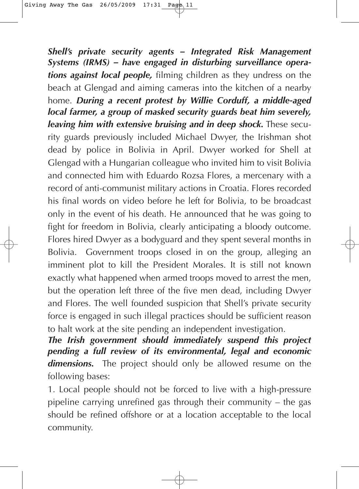*Shell's private security agents – Integrated Risk Management Systems (IRMS) – have engaged in disturbing surveillance operations against local people,* filming children as they undress on the beach at Glengad and aiming cameras into the kitchen of a nearby home. *During a recent protest by Willie Corduff, a middle-aged local farmer, a group of masked security guards beat him severely, leaving him with extensive bruising and in deep shock.* These security guards previously included Michael Dwyer, the Irishman shot dead by police in Bolivia in April. Dwyer worked for Shell at Glengad with a Hungarian colleague who invited him to visit Bolivia and connected him with Eduardo Rozsa Flores, a mercenary with a record of anti-communist military actions in Croatia. Flores recorded his final words on video before he left for Bolivia, to be broadcast only in the event of his death. He announced that he was going to fight for freedom in Bolivia, clearly anticipating a bloody outcome. Flores hired Dwyer as a bodyguard and they spent several months in Bolivia. Government troops closed in on the group, alleging an imminent plot to kill the President Morales. It is still not known exactly what happened when armed troops moved to arrest the men, but the operation left three of the five men dead, including Dwyer and Flores. The well founded suspicion that Shell's private security force is engaged in such illegal practices should be sufficient reason to halt work at the site pending an independent investigation.

*The Irish government should immediately suspend this project pending a full review of its environmental, legal and economic dimensions.* The project should only be allowed resume on the following bases:

1. Local people should not be forced to live with a high-pressure pipeline carrying unrefined gas through their community – the gas should be refined offshore or at a location acceptable to the local community.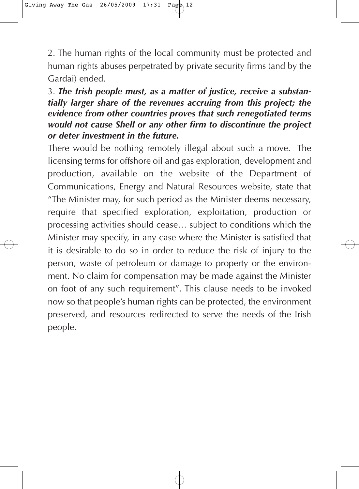2. The human rights of the local community must be protected and human rights abuses perpetrated by private security firms (and by the Gardai) ended.

# 3. *The Irish people must, as a matter of justice, receive a substantially larger share of the revenues accruing from this project; the evidence from other countries proves that such renegotiated terms would not cause Shell or any other firm to discontinue the project or deter investment in the future.*

There would be nothing remotely illegal about such a move. The licensing terms for offshore oil and gas exploration, development and production, available on the website of the Department of Communications, Energy and Natural Resources website, state that "The Minister may, for such period as the Minister deems necessary, require that specified exploration, exploitation, production or processing activities should cease… subject to conditions which the Minister may specify, in any case where the Minister is satisfied that it is desirable to do so in order to reduce the risk of injury to the person, waste of petroleum or damage to property or the environment. No claim for compensation may be made against the Minister on foot of any such requirement". This clause needs to be invoked now so that people's human rights can be protected, the environment preserved, and resources redirected to serve the needs of the Irish people.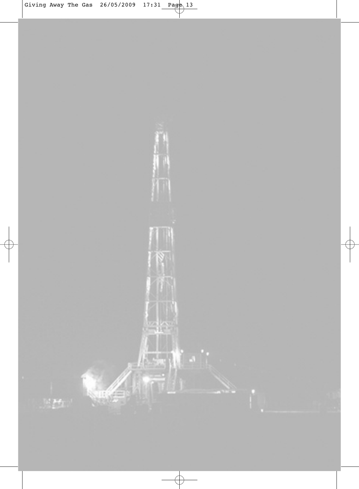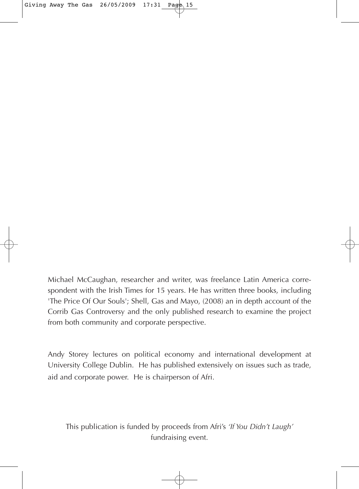Michael McCaughan, researcher and writer, was freelance Latin America correspondent with the Irish Times for 15 years. He has written three books, including 'The Price Of Our Souls'; Shell, Gas and Mayo, (2008) an in depth account of the Corrib Gas Controversy and the only published research to examine the project from both community and corporate perspective.

Andy Storey lectures on political economy and international development at University College Dublin. He has published extensively on issues such as trade, aid and corporate power. He is chairperson of Afri.

This publication is funded by proceeds from Afri's *'If You Didn't Laugh'* fundraising event.